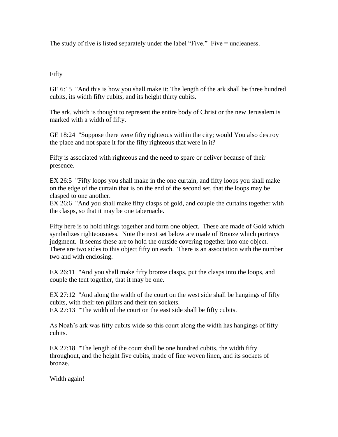The study of five is listed separately under the label "Five." Five = uncleaness.

## Fifty

GE 6:15 "And this is how you shall make it: The length of the ark shall be three hundred cubits, its width fifty cubits, and its height thirty cubits.

The ark, which is thought to represent the entire body of Christ or the new Jerusalem is marked with a width of fifty.

GE 18:24 "Suppose there were fifty righteous within the city; would You also destroy the place and not spare it for the fifty righteous that were in it?

Fifty is associated with righteous and the need to spare or deliver because of their presence.

EX 26:5 "Fifty loops you shall make in the one curtain, and fifty loops you shall make on the edge of the curtain that is on the end of the second set, that the loops may be clasped to one another.

EX 26:6 "And you shall make fifty clasps of gold, and couple the curtains together with the clasps, so that it may be one tabernacle.

Fifty here is to hold things together and form one object. These are made of Gold which symbolizes righteousness. Note the next set below are made of Bronze which portrays judgment. It seems these are to hold the outside covering together into one object. There are two sides to this object fifty on each. There is an association with the number two and with enclosing.

EX 26:11 "And you shall make fifty bronze clasps, put the clasps into the loops, and couple the tent together, that it may be one.

EX 27:12 "And along the width of the court on the west side shall be hangings of fifty cubits, with their ten pillars and their ten sockets.

EX 27:13 "The width of the court on the east side shall be fifty cubits.

As Noah's ark was fifty cubits wide so this court along the width has hangings of fifty cubits.

EX 27:18 "The length of the court shall be one hundred cubits, the width fifty throughout, and the height five cubits, made of fine woven linen, and its sockets of bronze.

Width again!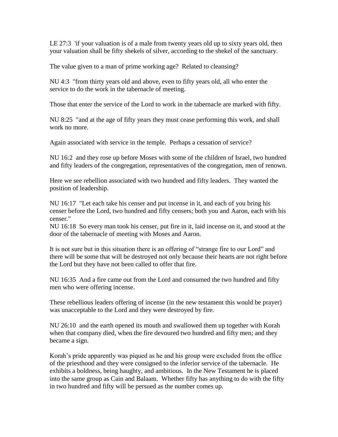LE 27:3 'if your valuation is of a male from twenty years old up to sixty years old, then your valuation shall be fifty shekels of silver, according to the shekel of the sanctuary.

The value given to a man of prime working age? Related to cleansing?

NU 4:3 "from thirty years old and above, even to fifty years old, all who enter the service to do the work in the tabernacle of meeting.

Those that enter the service of the Lord to work in the tabernacle are marked with fifty.

NU 8:25 "and at the age of fifty years they must cease performing this work, and shall work no more.

Again associated with service in the temple. Perhaps a cessation of service?

NU 16:2 and they rose up before Moses with some of the children of Israel, two hundred and fifty leaders of the congregation, representatives of the congregation, men of renown.

Here we see rebellion associated with two hundred and fifty leaders. They wanted the position of leadership.

NU 16:17 "Let each take his censer and put incense in it, and each of you bring his censer before the Lord, two hundred and fifty censers; both you and Aaron, each with his censer."

NU 16:18 So every man took his censer, put fire in it, laid incense on it, and stood at the door of the tabernacle of meeting with Moses and Aaron.

It is not sure but in this situation there is an offering of "strange fire to our Lord" and there will be some that will be destroyed not only because their hearts are not right before the Lord but they have not been called to offer that fire.

NU 16:35 And a fire came out from the Lord and consumed the two hundred and fifty men who were offering incense.

These rebellious leaders offering of incense (in the new testament this would be prayer) was unacceptable to the Lord and they were destroyed by fire.

NU 26:10 and the earth opened its mouth and swallowed them up together with Korah when that company died, when the fire devoured two hundred and fifty men; and they became a sign.

Korah's pride apparently was piqued as he and his group were excluded from the office of the priesthood and they were consigned to the inferior service of the tabernacle. He exhibits a boldness, being haughty, and ambitious. In the New Testament he is placed into the same group as Cain and Balaam. Whether fifty has anything to do with the fifty in two hundred and fifty will be persued as the number comes up.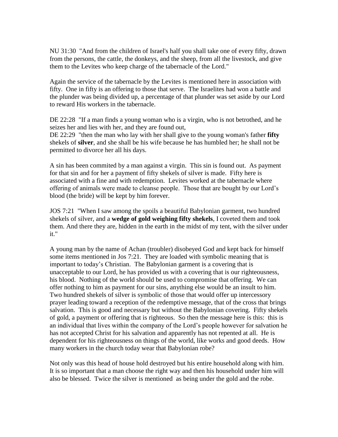NU 31:30 "And from the children of Israel's half you shall take one of every fifty, drawn from the persons, the cattle, the donkeys, and the sheep, from all the livestock, and give them to the Levites who keep charge of the tabernacle of the Lord."

Again the service of the tabernacle by the Levites is mentioned here in association with fifty. One in fifty is an offering to those that serve. The Israelites had won a battle and the plunder was being divided up, a percentage of that plunder was set aside by our Lord to reward His workers in the tabernacle.

DE 22:28 "If a man finds a young woman who is a virgin, who is not betrothed, and he seizes her and lies with her, and they are found out,

DE 22:29 "then the man who lay with her shall give to the young woman's father **fifty** shekels of **silver**, and she shall be his wife because he has humbled her; he shall not be permitted to divorce her all his days.

A sin has been commited by a man against a virgin. This sin is found out. As payment for that sin and for her a payment of fifty shekels of silver is made. Fifty here is associated with a fine and with redemption. Levites worked at the tabernacle where offering of animals were made to cleanse people. Those that are bought by our Lord's blood (the bride) will be kept by him forever.

JOS 7:21 "When I saw among the spoils a beautiful Babylonian garment, two hundred shekels of silver, and a **wedge of gold weighing fifty shekels**, I coveted them and took them. And there they are, hidden in the earth in the midst of my tent, with the silver under it."

A young man by the name of Achan (troubler) disobeyed God and kept back for himself some items mentioned in Jos 7:21. They are loaded with symbolic meaning that is important to today's Christian. The Babylonian garment is a covering that is unacceptable to our Lord, he has provided us with a covering that is our righteousness, his blood. Nothing of the world should be used to compromise that offering. We can offer nothing to him as payment for our sins, anything else would be an insult to him. Two hundred shekels of silver is symbolic of those that would offer up intercessory prayer leading toward a reception of the redemptive message, that of the cross that brings salvation. This is good and necessary but without the Babylonian covering. Fifty shekels of gold, a payment or offering that is righteous. So then the message here is this: this is an individual that lives within the company of the Lord's people however for salvation he has not accepted Christ for his salvation and apparently has not repented at all. He is dependent for his righteousness on things of the world, like works and good deeds. How many workers in the church today wear that Babylonian robe?

Not only was this head of house hold destroyed but his entire household along with him. It is so important that a man choose the right way and then his household under him will also be blessed. Twice the silver is mentioned as being under the gold and the robe.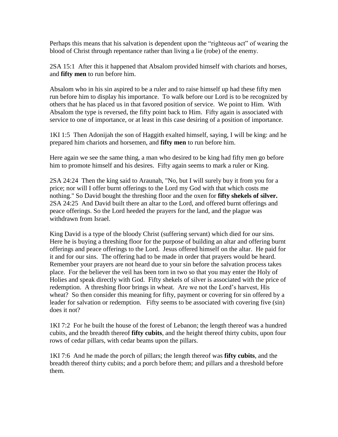Perhaps this means that his salvation is dependent upon the "righteous act" of wearing the blood of Christ through repentance rather than living a lie (robe) of the enemy.

2SA 15:1 After this it happened that Absalom provided himself with chariots and horses, and **fifty men** to run before him.

Absalom who in his sin aspired to be a ruler and to raise himself up had these fifty men run before him to display his importance. To walk before our Lord is to be recognized by others that he has placed us in that favored position of service. We point to Him. With Absalom the type is reversed, the fifty point back to Him. Fifty again is associated with service to one of importance, or at least in this case desiring of a position of importance.

1KI 1:5 Then Adonijah the son of Haggith exalted himself, saying, I will be king: and he prepared him chariots and horsemen, and **fifty men** to run before him.

Here again we see the same thing, a man who desired to be king had fifty men go before him to promote himself and his desires. Fifty again seems to mark a ruler or King.

2SA 24:24 Then the king said to Araunah, "No, but I will surely buy it from you for a price; nor will I offer burnt offerings to the Lord my God with that which costs me nothing." So David bought the threshing floor and the oxen for **fifty shekels of silver.** 2SA 24:25 And David built there an altar to the Lord, and offered burnt offerings and peace offerings. So the Lord heeded the prayers for the land, and the plague was withdrawn from Israel.

King David is a type of the bloody Christ (suffering servant) which died for our sins. Here he is buying a threshing floor for the purpose of building an altar and offering burnt offerings and peace offerings to the Lord. Jesus offered himself on the altar. He paid for it and for our sins. The offering had to be made in order that prayers would be heard. Remember your prayers are not heard due to your sin before the salvation process takes place. For the believer the veil has been torn in two so that you may enter the Holy of Holies and speak directly with God. Fifty shekels of silver is associated with the price of redemption. A threshing floor brings in wheat. Are we not the Lord's harvest, His wheat? So then consider this meaning for fifty, payment or covering for sin offered by a leader for salvation or redemption. Fifty seems to be associated with covering five (sin) does it not?

1KI 7:2 For he built the house of the forest of Lebanon; the length thereof was a hundred cubits, and the breadth thereof **fifty cubits**, and the height thereof thirty cubits, upon four rows of cedar pillars, with cedar beams upon the pillars.

1KI 7:6 And he made the porch of pillars; the length thereof was **fifty cubits**, and the breadth thereof thirty cubits; and a porch before them; and pillars and a threshold before them.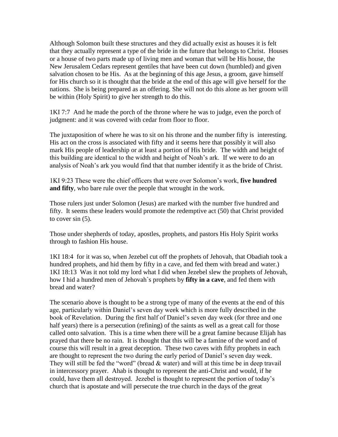Although Solomon built these structures and they did actually exist as houses it is felt that they actually represent a type of the bride in the future that belongs to Christ. Houses or a house of two parts made up of living men and woman that will be His house, the New Jerusalem Cedars represent gentiles that have been cut down (humbled) and given salvation chosen to be His. As at the beginning of this age Jesus, a groom, gave himself for His church so it is thought that the bride at the end of this age will give herself for the nations. She is being prepared as an offering. She will not do this alone as her groom will be within (Holy Spirit) to give her strength to do this.

1KI 7:7 And he made the porch of the throne where he was to judge, even the porch of judgment: and it was covered with cedar from floor to floor.

The juxtaposition of where he was to sit on his throne and the number fifty is interesting. His act on the cross is associated with fifty and it seems here that possibly it will also mark His people of leadership or at least a portion of His bride. The width and height of this building are identical to the width and height of Noah's ark. If we were to do an analysis of Noah's ark you would find that that number identify it as the bride of Christ.

1KI 9:23 These were the chief officers that were over Solomon's work, **five hundred and fifty**, who bare rule over the people that wrought in the work.

Those rulers just under Solomon (Jesus) are marked with the number five hundred and fifty. It seems these leaders would promote the redemptive act (50) that Christ provided to cover sin (5).

Those under shepherds of today, apostles, prophets, and pastors His Holy Spirit works through to fashion His house.

1KI 18:4 for it was so, when Jezebel cut off the prophets of Jehovah, that Obadiah took a hundred prophets, and hid them by fifty in a cave, and fed them with bread and water.) 1KI 18:13 Was it not told my lord what I did when Jezebel slew the prophets of Jehovah, how I hid a hundred men of Jehovah`s prophets by **fifty in a cave**, and fed them with bread and water?

The scenario above is thought to be a strong type of many of the events at the end of this age, particularly within Daniel's seven day week which is more fully described in the book of Revelation. During the first half of Daniel's seven day week (for three and one half years) there is a persecution (refining) of the saints as well as a great call for those called onto salvation. This is a time when there will be a great famine because Elijah has prayed that there be no rain. It is thought that this will be a famine of the word and of course this will result in a great deception. These two caves with fifty prophets in each are thought to represent the two during the early period of Daniel's seven day week. They will still be fed the "word" (bread & water) and will at this time be in deep travail in intercessory prayer. Ahab is thought to represent the anti-Christ and would, if he could, have them all destroyed. Jezebel is thought to represent the portion of today's church that is apostate and will persecute the true church in the days of the great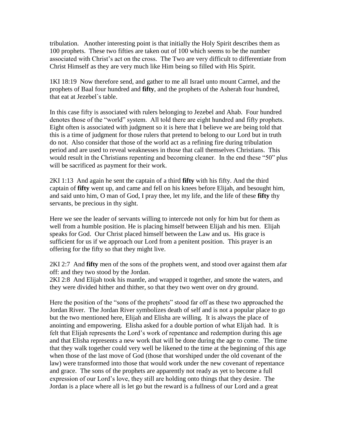tribulation. Another interesting point is that initially the Holy Spirit describes them as 100 prophets. These two fifties are taken out of 100 which seems to be the number associated with Christ's act on the cross. The Two are very difficult to differentiate from Christ Himself as they are very much like Him being so filled with His Spirit.

1KI 18:19 Now therefore send, and gather to me all Israel unto mount Carmel, and the prophets of Baal four hundred and **fifty**, and the prophets of the Asherah four hundred, that eat at Jezebel`s table.

In this case fifty is associated with rulers belonging to Jezebel and Ahab. Four hundred denotes those of the "world" system. All told there are eight hundred and fifty prophets. Eight often is associated with judgment so it is here that I believe we are being told that this is a time of judgment for those rulers that pretend to belong to our Lord but in truth do not. Also consider that those of the world act as a refining fire during tribulation period and are used to reveal weaknesses in those that call themselves Christians. This would result in the Christians repenting and becoming cleaner. In the end these "50" plus will be sacrificed as payment for their work.

2KI 1:13 And again he sent the captain of a third **fifty** with his fifty. And the third captain of **fifty** went up, and came and fell on his knees before Elijah, and besought him, and said unto him, O man of God, I pray thee, let my life, and the life of these **fifty** thy servants, be precious in thy sight.

Here we see the leader of servants willing to intercede not only for him but for them as well from a humble position. He is placing himself between Elijah and his men. Elijah speaks for God. Our Christ placed himself between the Law and us. His grace is sufficient for us if we approach our Lord from a penitent position. This prayer is an offering for the fifty so that they might live.

2KI 2:7 And **fifty** men of the sons of the prophets went, and stood over against them afar off: and they two stood by the Jordan.

2KI 2:8 And Elijah took his mantle, and wrapped it together, and smote the waters, and they were divided hither and thither, so that they two went over on dry ground.

Here the position of the "sons of the prophets" stood far off as these two approached the Jordan River. The Jordan River symbolizes death of self and is not a popular place to go but the two mentioned here, Elijah and Elisha are willing. It is always the place of anointing and empowering. Elisha asked for a double portion of what Elijah had. It is felt that Elijah represents the Lord's work of repentance and redemption during this age and that Elisha represents a new work that will be done during the age to come. The time that they walk together could very well be likened to the time at the beginning of this age when those of the last move of God (those that worshiped under the old covenant of the law) were transformed into those that would work under the new covenant of repentance and grace. The sons of the prophets are apparently not ready as yet to become a full expression of our Lord's love, they still are holding onto things that they desire. The Jordan is a place where all is let go but the reward is a fullness of our Lord and a great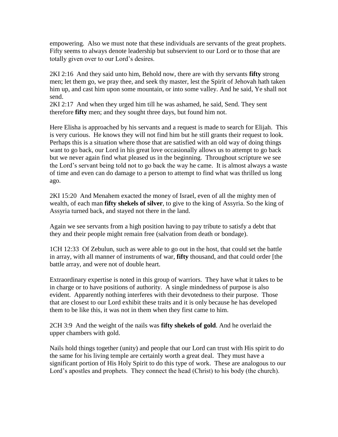empowering. Also we must note that these individuals are servants of the great prophets. Fifty seems to always denote leadership but subservient to our Lord or to those that are totally given over to our Lord's desires.

2KI 2:16 And they said unto him, Behold now, there are with thy servants **fifty** strong men; let them go, we pray thee, and seek thy master, lest the Spirit of Jehovah hath taken him up, and cast him upon some mountain, or into some valley. And he said, Ye shall not send.

2KI 2:17 And when they urged him till he was ashamed, he said, Send. They sent therefore **fifty** men; and they sought three days, but found him not.

Here Elisha is approached by his servants and a request is made to search for Elijah. This is very curious. He knows they will not find him but he still grants their request to look. Perhaps this is a situation where those that are satisfied with an old way of doing things want to go back, our Lord in his great love occasionally allows us to attempt to go back but we never again find what pleased us in the beginning. Throughout scripture we see the Lord's servant being told not to go back the way he came. It is almost always a waste of time and even can do damage to a person to attempt to find what was thrilled us long ago.

2KI 15:20 And Menahem exacted the money of Israel, even of all the mighty men of wealth, of each man **fifty shekels of silver**, to give to the king of Assyria. So the king of Assyria turned back, and stayed not there in the land.

Again we see servants from a high position having to pay tribute to satisfy a debt that they and their people might remain free (salvation from death or bondage).

1CH 12:33 Of Zebulun, such as were able to go out in the host, that could set the battle in array, with all manner of instruments of war, **fifty** thousand, and that could order [the battle array, and were not of double heart.

Extraordinary expertise is noted in this group of warriors. They have what it takes to be in charge or to have positions of authority. A single mindedness of purpose is also evident. Apparently nothing interferes with their devotedness to their purpose. Those that are closest to our Lord exhibit these traits and it is only because he has developed them to be like this, it was not in them when they first came to him.

2CH 3:9 And the weight of the nails was **fifty shekels of gold**. And he overlaid the upper chambers with gold.

Nails hold things together (unity) and people that our Lord can trust with His spirit to do the same for his living temple are certainly worth a great deal. They must have a significant portion of His Holy Spirit to do this type of work. These are analogous to our Lord's apostles and prophets. They connect the head (Christ) to his body (the church).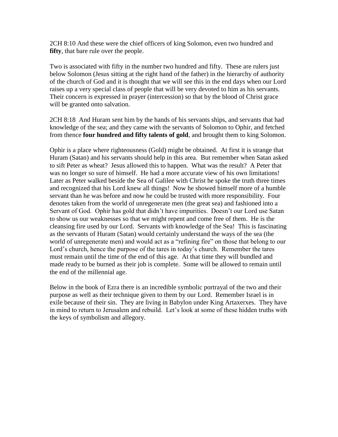2CH 8:10 And these were the chief officers of king Solomon, even two hundred and **fifty**, that bare rule over the people.

Two is associated with fifty in the number two hundred and fifty. These are rulers just below Solomon (Jesus sitting at the right hand of the father) in the hierarchy of authority of the church of God and it is thought that we will see this in the end days when our Lord raises up a very special class of people that will be very devoted to him as his servants. Their concern is expressed in prayer (intercession) so that by the blood of Christ grace will be granted onto salvation.

2CH 8:18 And Huram sent him by the hands of his servants ships, and servants that had knowledge of the sea; and they came with the servants of Solomon to Ophir, and fetched from thence **four hundred and fifty talents of gold**, and brought them to king Solomon.

Ophir is a place where righteousness (Gold) might be obtained. At first it is strange that Huram (Satan) and his servants should help in this area. But remember when Satan asked to sift Peter as wheat? Jesus allowed this to happen. What was the result? A Peter that was no longer so sure of himself. He had a more accurate view of his own limitations! Later as Peter walked beside the Sea of Galilee with Christ he spoke the truth three times and recognized that his Lord knew all things! Now he showed himself more of a humble servant than he was before and now he could be trusted with more responsibility. Four denotes taken from the world of unregenerate men (the great sea) and fashioned into a Servant of God. Ophir has gold that didn't have impurities. Doesn't our Lord use Satan to show us our weaknesses so that we might repent and come free of them. He is the cleansing fire used by our Lord. Servants with knowledge of the Sea! This is fascinating as the servants of Huram (Satan) would certainly understand the ways of the sea (the world of unregenerate men) and would act as a "refining fire" on those that belong to our Lord's church, hence the purpose of the tares in today's church. Remember the tares must remain until the time of the end of this age. At that time they will bundled and made ready to be burned as their job is complete. Some will be allowed to remain until the end of the millennial age.

Below in the book of Ezra there is an incredible symbolic portrayal of the two and their purpose as well as their technique given to them by our Lord. Remember Israel is in exile because of their sin. They are living in Babylon under King Artaxerxes. They have in mind to return to Jerusalem and rebuild. Let's look at some of these hidden truths with the keys of symbolism and allegory.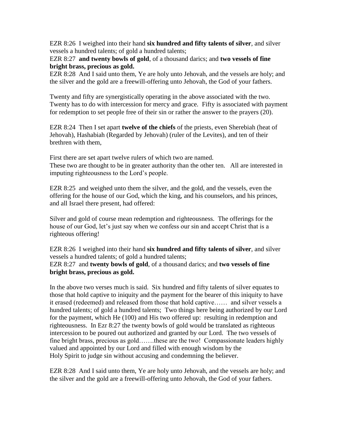EZR 8:26 I weighed into their hand **six hundred and fifty talents of silver**, and silver vessels a hundred talents; of gold a hundred talents;

EZR 8:27 **and twenty bowls of gold**, of a thousand darics; and **two vessels of fine bright brass, precious as gold.**

EZR 8:28 And I said unto them, Ye are holy unto Jehovah, and the vessels are holy; and the silver and the gold are a freewill-offering unto Jehovah, the God of your fathers.

Twenty and fifty are synergistically operating in the above associated with the two. Twenty has to do with intercession for mercy and grace. Fifty is associated with payment for redemption to set people free of their sin or rather the answer to the prayers (20).

EZR 8:24 Then I set apart **twelve of the chiefs** of the priests, even Sherebiah (heat of Jehovah), Hashabiah (Regarded by Jehovah) (ruler of the Levites), and ten of their brethren with them,

First there are set apart twelve rulers of which two are named. These two are thought to be in greater authority than the other ten. All are interested in imputing righteousness to the Lord's people.

EZR 8:25 and weighed unto them the silver, and the gold, and the vessels, even the offering for the house of our God, which the king, and his counselors, and his princes, and all Israel there present, had offered:

Silver and gold of course mean redemption and righteousness. The offerings for the house of our God, let's just say when we confess our sin and accept Christ that is a righteous offering!

EZR 8:26 I weighed into their hand **six hundred and fifty talents of silver**, and silver vessels a hundred talents; of gold a hundred talents;

EZR 8:27 and **twenty bowls of gold**, of a thousand darics; and **two vessels of fine bright brass, precious as gold.**

In the above two verses much is said. Six hundred and fifty talents of silver equates to those that hold captive to iniquity and the payment for the bearer of this iniquity to have it erased (redeemed) and released from those that hold captive…… and silver vessels a hundred talents; of gold a hundred talents; Two things here being authorized by our Lord for the payment, which He (100) and His two offered up: resulting in redemption and righteousness. In Ezr 8:27 the twenty bowls of gold would be translated as righteous intercession to be poured out authorized and granted by our Lord. The two vessels of fine bright brass, precious as gold…….these are the two! Compassionate leaders highly valued and appointed by our Lord and filled with enough wisdom by the Holy Spirit to judge sin without accusing and condemning the believer.

EZR 8:28 And I said unto them, Ye are holy unto Jehovah, and the vessels are holy; and the silver and the gold are a freewill-offering unto Jehovah, the God of your fathers.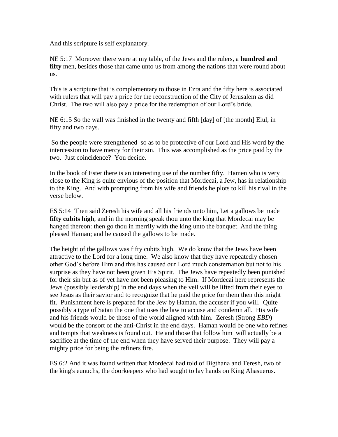And this scripture is self explanatory.

NE 5:17 Moreover there were at my table, of the Jews and the rulers, a **hundred and**  fifty men, besides those that came unto us from among the nations that were round about us.

This is a scripture that is complementary to those in Ezra and the fifty here is associated with rulers that will pay a price for the reconstruction of the City of Jerusalem as did Christ. The two will also pay a price for the redemption of our Lord's bride.

NE 6:15 So the wall was finished in the twenty and fifth [day] of [the month] Elul, in fifty and two days.

So the people were strengthened so as to be protective of our Lord and His word by the intercession to have mercy for their sin. This was accomplished as the price paid by the two. Just coincidence? You decide.

In the book of Ester there is an interesting use of the number fifty. Hamen who is very close to the King is quite envious of the position that Mordecai, a Jew, has in relationship to the King. And with prompting from his wife and friends he plots to kill his rival in the verse below.

ES 5:14 Then said Zeresh his wife and all his friends unto him, Let a gallows be made **fifty cubits high**, and in the morning speak thou unto the king that Mordecai may be hanged thereon: then go thou in merrily with the king unto the banquet. And the thing pleased Haman; and he caused the gallows to be made.

The height of the gallows was fifty cubits high. We do know that the Jews have been attractive to the Lord for a long time. We also know that they have repeatedly chosen other God's before Him and this has caused our Lord much consternation but not to his surprise as they have not been given His Spirit. The Jews have repeatedly been punished for their sin but as of yet have not been pleasing to Him. If Mordecai here represents the Jews (possibly leadership) in the end days when the veil will be lifted from their eyes to see Jesus as their savior and to recognize that he paid the price for them then this might fit. Punishment here is prepared for the Jew by Haman, the accuser if you will. Quite possibly a type of Satan the one that uses the law to accuse and condemn all. His wife and his friends would be those of the world aligned with him. Zeresh (Strong *EBD*) would be the consort of the anti-Christ in the end days. Haman would be one who refines and tempts that weakness is found out. He and those that follow him will actually be a sacrifice at the time of the end when they have served their purpose. They will pay a mighty price for being the refiners fire.

ES 6:2 And it was found written that Mordecai had told of Bigthana and Teresh, two of the king's eunuchs, the doorkeepers who had sought to lay hands on King Ahasuerus.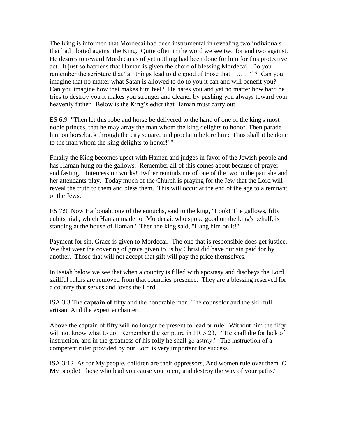The King is informed that Mordecai had been instrumental in revealing two individuals that had plotted against the King. Quite often in the word we see two for and two against. He desires to reward Mordecai as of yet nothing had been done for him for this protective act. It just so happens that Haman is given the chore of blessing Mordecai. Do you remember the scripture that "all things lead to the good of those that ……. " ? Can you imagine that no matter what Satan is allowed to do to you it can and will benefit you? Can you imagine how that makes him feel? He hates you and yet no matter how hard he tries to destroy you it makes you stronger and cleaner by pushing you always toward your heavenly father. Below is the King's edict that Haman must carry out.

ES 6:9 "Then let this robe and horse be delivered to the hand of one of the king's most noble princes, that he may array the man whom the king delights to honor. Then parade him on horseback through the city square, and proclaim before him: 'Thus shall it be done to the man whom the king delights to honor!' "

Finally the King becomes upset with Hamen and judges in favor of the Jewish people and has Haman hung on the gallows. Remember all of this comes about because of prayer and fasting. Intercession works! Esther reminds me of one of the two in the part she and her attendants play. Today much of the Church is praying for the Jew that the Lord will reveal the truth to them and bless them. This will occur at the end of the age to a remnant of the Jews.

ES 7:9 Now Harbonah, one of the eunuchs, said to the king, "Look! The gallows, fifty cubits high, which Haman made for Mordecai, who spoke good on the king's behalf, is standing at the house of Haman." Then the king said, "Hang him on it!"

Payment for sin, Grace is given to Mordecai. The one that is responsible does get justice. We that wear the covering of grace given to us by Christ did have our sin paid for by another. Those that will not accept that gift will pay the price themselves.

In Isaiah below we see that when a country is filled with apostasy and disobeys the Lord skillful rulers are removed from that countries presence. They are a blessing reserved for a country that serves and loves the Lord.

ISA 3:3 The **captain of fifty** and the honorable man, The counselor and the skillfull artisan, And the expert enchanter.

Above the captain of fifty will no longer be present to lead or rule. Without him the fifty will not know what to do. Remember the scripture in PR 5:23, "He shall die for lack of instruction, and in the greatness of his folly he shall go astray." The instruction of a competent ruler provided by our Lord is very important for success.

ISA 3:12 As for My people, children are their oppressors, And women rule over them. O My people! Those who lead you cause you to err, and destroy the way of your paths."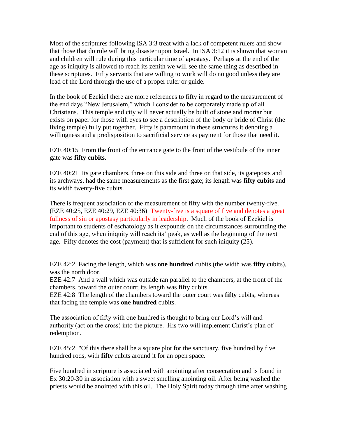Most of the scriptures following ISA 3:3 treat with a lack of competent rulers and show that those that do rule will bring disaster upon Israel. In ISA 3:12 it is shown that woman and children will rule during this particular time of apostasy. Perhaps at the end of the age as iniquity is allowed to reach its zenith we will see the same thing as described in these scriptures. Fifty servants that are willing to work will do no good unless they are lead of the Lord through the use of a proper ruler or guide.

In the book of Ezekiel there are more references to fifty in regard to the measurement of the end days "New Jerusalem," which I consider to be corporately made up of all Christians. This temple and city will never actually be built of stone and mortar but exists on paper for those with eyes to see a description of the body or bride of Christ (the living temple) fully put together. Fifty is paramount in these structures it denoting a willingness and a predisposition to sacrificial service as payment for those that need it.

EZE 40:15 From the front of the entrance gate to the front of the vestibule of the inner gate was **fifty cubits**.

EZE 40:21 Its gate chambers, three on this side and three on that side, its gateposts and its archways, had the same measurements as the first gate; its length was **fifty cubits** and its width twenty-five cubits.

There is frequent association of the measurement of fifty with the number twenty-five. (EZE 40:25, EZE 40:29, EZE 40:36) Twenty-five is a square of five and denotes a great fullness of sin or apostasy particularly in leadership. Much of the book of Ezekiel is important to students of eschatology as it expounds on the circumstances surrounding the end of this age, when iniquity will reach its' peak, as well as the beginning of the next age. Fifty denotes the cost (payment) that is sufficient for such iniquity (25).

EZE 42:2 Facing the length, which was **one hundred** cubits (the width was **fifty** cubits), was the north door.

EZE 42:7 And a wall which was outside ran parallel to the chambers, at the front of the chambers, toward the outer court; its length was fifty cubits.

EZE 42:8 The length of the chambers toward the outer court was **fifty** cubits, whereas that facing the temple was **one hundred** cubits.

The association of fifty with one hundred is thought to bring our Lord's will and authority (act on the cross) into the picture. His two will implement Christ's plan of redemption.

EZE 45:2 "Of this there shall be a square plot for the sanctuary, five hundred by five hundred rods, with **fifty** cubits around it for an open space.

Five hundred in scripture is associated with anointing after consecration and is found in Ex 30:20-30 in association with a sweet smelling anointing oil. After being washed the priests would be anointed with this oil. The Holy Spirit today through time after washing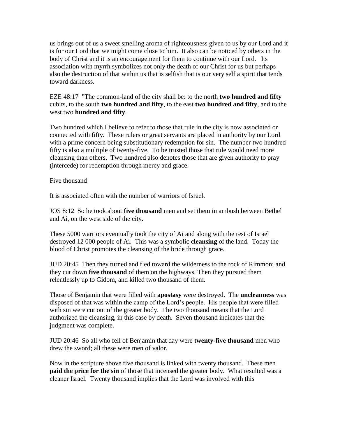us brings out of us a sweet smelling aroma of righteousness given to us by our Lord and it is for our Lord that we might come close to him. It also can be noticed by others in the body of Christ and it is an encouragement for them to continue with our Lord. Its association with myrrh symbolizes not only the death of our Christ for us but perhaps also the destruction of that within us that is selfish that is our very self a spirit that tends toward darkness.

EZE 48:17 "The common-land of the city shall be: to the north **two hundred and fifty** cubits, to the south **two hundred and fifty**, to the east **two hundred and fifty**, and to the west two **hundred and fifty**.

Two hundred which I believe to refer to those that rule in the city is now associated or connected with fifty. These rulers or great servants are placed in authority by our Lord with a prime concern being substitutionary redemption for sin. The number two hundred fifty is also a multiple of twenty-five. To be trusted those that rule would need more cleansing than others. Two hundred also denotes those that are given authority to pray (intercede) for redemption through mercy and grace.

Five thousand

It is associated often with the number of warriors of Israel.

JOS 8:12 So he took about **five thousand** men and set them in ambush between Bethel and Ai, on the west side of the city.

These 5000 warriors eventually took the city of Ai and along with the rest of Israel destroyed 12 000 people of Ai. This was a symbolic **cleansing** of the land. Today the blood of Christ promotes the cleansing of the bride through grace.

JUD 20:45 Then they turned and fled toward the wilderness to the rock of Rimmon; and they cut down **five thousand** of them on the highways. Then they pursued them relentlessly up to Gidom, and killed two thousand of them.

Those of Benjamin that were filled with **apostasy** were destroyed. The **uncleanness** was disposed of that was within the camp of the Lord's people. His people that were filled with sin were cut out of the greater body. The two thousand means that the Lord authorized the cleansing, in this case by death. Seven thousand indicates that the judgment was complete.

JUD 20:46 So all who fell of Benjamin that day were **twenty-five thousand** men who drew the sword; all these were men of valor.

Now in the scripture above five thousand is linked with twenty thousand. These men **paid the price for the sin** of those that incensed the greater body. What resulted was a cleaner Israel. Twenty thousand implies that the Lord was involved with this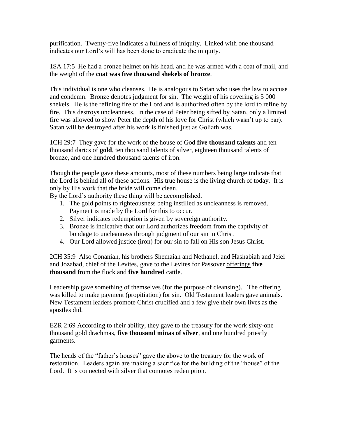purification. Twenty-five indicates a fullness of iniquity. Linked with one thousand indicates our Lord's will has been done to eradicate the iniquity.

1SA 17:5 He had a bronze helmet on his head, and he was armed with a coat of mail, and the weight of the **coat was five thousand shekels of bronze**.

This individual is one who cleanses. He is analogous to Satan who uses the law to accuse and condemn. Bronze denotes judgment for sin. The weight of his covering is 5 000 shekels. He is the refining fire of the Lord and is authorized often by the lord to refine by fire. This destroys uncleanness. In the case of Peter being sifted by Satan, only a limited fire was allowed to show Peter the depth of his love for Christ (which wasn't up to par). Satan will be destroyed after his work is finished just as Goliath was.

1CH 29:7 They gave for the work of the house of God **five thousand talents** and ten thousand darics of **gold**, ten thousand talents of silver, eighteen thousand talents of bronze, and one hundred thousand talents of iron.

Though the people gave these amounts, most of these numbers being large indicate that the Lord is behind all of these actions. His true house is the living church of today. It is only by His work that the bride will come clean.

By the Lord's authority these thing will be accomplished.

- 1. The gold points to righteousness being instilled as uncleanness is removed. Payment is made by the Lord for this to occur.
- 2. Silver indicates redemption is given by sovereign authority.
- 3. Bronze is indicative that our Lord authorizes freedom from the captivity of bondage to uncleanness through judgment of our sin in Christ.
- 4. Our Lord allowed justice (iron) for our sin to fall on His son Jesus Christ.

2CH 35:9 Also Conaniah, his brothers Shemaiah and Nethanel, and Hashabiah and Jeiel and Jozabad, chief of the Levites, gave to the Levites for Passover offerings **five thousand** from the flock and **five hundred** cattle.

Leadership gave something of themselves (for the purpose of cleansing). The offering was killed to make payment (propitiation) for sin. Old Testament leaders gave animals. New Testament leaders promote Christ crucified and a few give their own lives as the apostles did.

EZR 2:69 According to their ability, they gave to the treasury for the work sixty-one thousand gold drachmas, **five thousand minas of silver**, and one hundred priestly garments.

The heads of the "father's houses" gave the above to the treasury for the work of restoration. Leaders again are making a sacrifice for the building of the "house" of the Lord. It is connected with silver that connotes redemption.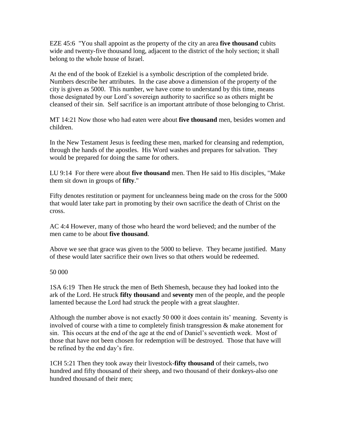EZE 45:6 "You shall appoint as the property of the city an area **five thousand** cubits wide and twenty-five thousand long, adjacent to the district of the holy section; it shall belong to the whole house of Israel.

At the end of the book of Ezekiel is a symbolic description of the completed bride. Numbers describe her attributes. In the case above a dimension of the property of the city is given as 5000. This number, we have come to understand by this time, means those designated by our Lord's sovereign authority to sacrifice so as others might be cleansed of their sin. Self sacrifice is an important attribute of those belonging to Christ.

MT 14:21 Now those who had eaten were about **five thousand** men, besides women and children.

In the New Testament Jesus is feeding these men, marked for cleansing and redemption, through the hands of the apostles. His Word washes and prepares for salvation. They would be prepared for doing the same for others.

LU 9:14 For there were about **five thousand** men. Then He said to His disciples, "Make them sit down in groups of **fifty**."

Fifty denotes restitution or payment for uncleanness being made on the cross for the 5000 that would later take part in promoting by their own sacrifice the death of Christ on the cross.

AC 4:4 However, many of those who heard the word believed; and the number of the men came to be about **five thousand**.

Above we see that grace was given to the 5000 to believe. They became justified. Many of these would later sacrifice their own lives so that others would be redeemed.

50 000

1SA 6:19 Then He struck the men of Beth Shemesh, because they had looked into the ark of the Lord. He struck **fifty thousand** and **seventy** men of the people, and the people lamented because the Lord had struck the people with a great slaughter.

Although the number above is not exactly 50 000 it does contain its' meaning. Seventy is involved of course with a time to completely finish transgression & make atonement for sin. This occurs at the end of the age at the end of Daniel's seventieth week. Most of those that have not been chosen for redemption will be destroyed. Those that have will be refined by the end day's fire.

1CH 5:21 Then they took away their livestock-**fifty thousand** of their camels, two hundred and fifty thousand of their sheep, and two thousand of their donkeys-also one hundred thousand of their men;